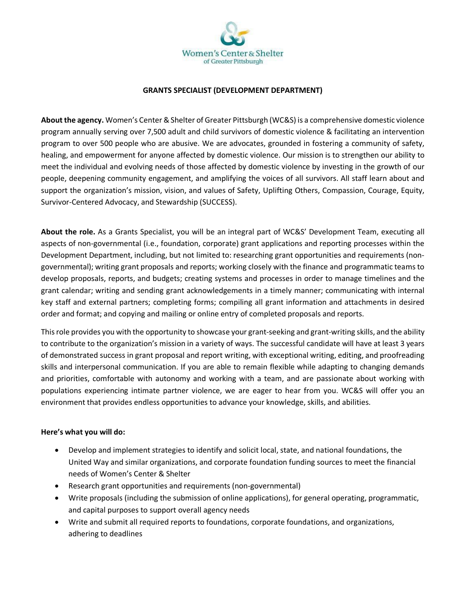

## **GRANTS SPECIALIST (DEVELOPMENT DEPARTMENT)**

**About the agency.** Women's Center & Shelter of Greater Pittsburgh (WC&S) is a comprehensive domestic violence program annually serving over 7,500 adult and child survivors of domestic violence & facilitating an intervention program to over 500 people who are abusive. We are advocates, grounded in fostering a community of safety, healing, and empowerment for anyone affected by domestic violence. Our mission is to strengthen our ability to meet the individual and evolving needs of those affected by domestic violence by investing in the growth of our people, deepening community engagement, and amplifying the voices of all survivors. All staff learn about and support the organization's mission, vision, and values of Safety, Uplifting Others, Compassion, Courage, Equity, Survivor-Centered Advocacy, and Stewardship (SUCCESS).

**About the role.** As a Grants Specialist, you will be an integral part of WC&S' Development Team, executing all aspects of non-governmental (i.e., foundation, corporate) grant applications and reporting processes within the Development Department, including, but not limited to: researching grant opportunities and requirements (nongovernmental); writing grant proposals and reports; working closely with the finance and programmatic teams to develop proposals, reports, and budgets; creating systems and processes in order to manage timelines and the grant calendar; writing and sending grant acknowledgements in a timely manner; communicating with internal key staff and external partners; completing forms; compiling all grant information and attachments in desired order and format; and copying and mailing or online entry of completed proposals and reports.

This role provides you with the opportunity to showcase your grant-seeking and grant-writing skills, and the ability to contribute to the organization's mission in a variety of ways. The successful candidate will have at least 3 years of demonstrated success in grant proposal and report writing, with exceptional writing, editing, and proofreading skills and interpersonal communication. If you are able to remain flexible while adapting to changing demands and priorities, comfortable with autonomy and working with a team, and are passionate about working with populations experiencing intimate partner violence, we are eager to hear from you. WC&S will offer you an environment that provides endless opportunities to advance your knowledge, skills, and abilities.

## **Here's what you will do:**

- Develop and implement strategies to identify and solicit local, state, and national foundations, the United Way and similar organizations, and corporate foundation funding sources to meet the financial needs of Women's Center & Shelter
- Research grant opportunities and requirements (non-governmental)
- Write proposals (including the submission of online applications), for general operating, programmatic, and capital purposes to support overall agency needs
- Write and submit all required reports to foundations, corporate foundations, and organizations, adhering to deadlines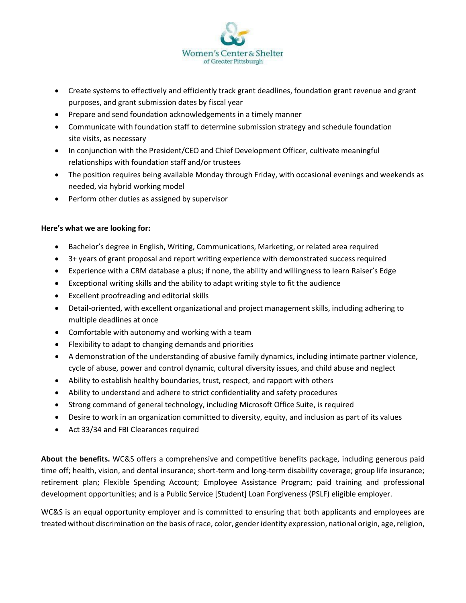

- Create systems to effectively and efficiently track grant deadlines, foundation grant revenue and grant purposes, and grant submission dates by fiscal year
- Prepare and send foundation acknowledgements in a timely manner
- Communicate with foundation staff to determine submission strategy and schedule foundation site visits, as necessary
- In conjunction with the President/CEO and Chief Development Officer, cultivate meaningful relationships with foundation staff and/or trustees
- The position requires being available Monday through Friday, with occasional evenings and weekends as needed, via hybrid working model
- Perform other duties as assigned by supervisor

## **Here's what we are looking for:**

- Bachelor's degree in English, Writing, Communications, Marketing, or related area required
- 3+ years of grant proposal and report writing experience with demonstrated success required
- Experience with a CRM database a plus; if none, the ability and willingness to learn Raiser's Edge
- Exceptional writing skills and the ability to adapt writing style to fit the audience
- Excellent proofreading and editorial skills
- Detail-oriented, with excellent organizational and project management skills, including adhering to multiple deadlines at once
- Comfortable with autonomy and working with a team
- Flexibility to adapt to changing demands and priorities
- A demonstration of the understanding of abusive family dynamics, including intimate partner violence, cycle of abuse, power and control dynamic, cultural diversity issues, and child abuse and neglect
- Ability to establish healthy boundaries, trust, respect, and rapport with others
- Ability to understand and adhere to strict confidentiality and safety procedures
- Strong command of general technology, including Microsoft Office Suite, is required
- Desire to work in an organization committed to diversity, equity, and inclusion as part of its values
- Act 33/34 and FBI Clearances required

**About the benefits.** WC&S offers a comprehensive and competitive benefits package, including generous paid time off; health, vision, and dental insurance; short-term and long-term disability coverage; group life insurance; retirement plan; Flexible Spending Account; Employee Assistance Program; paid training and professional development opportunities; and is a Public Service [Student] Loan Forgiveness (PSLF) eligible employer.

WC&S is an equal opportunity employer and is committed to ensuring that both applicants and employees are treated without discrimination on the basis of race, color, gender identity expression, national origin, age, religion,